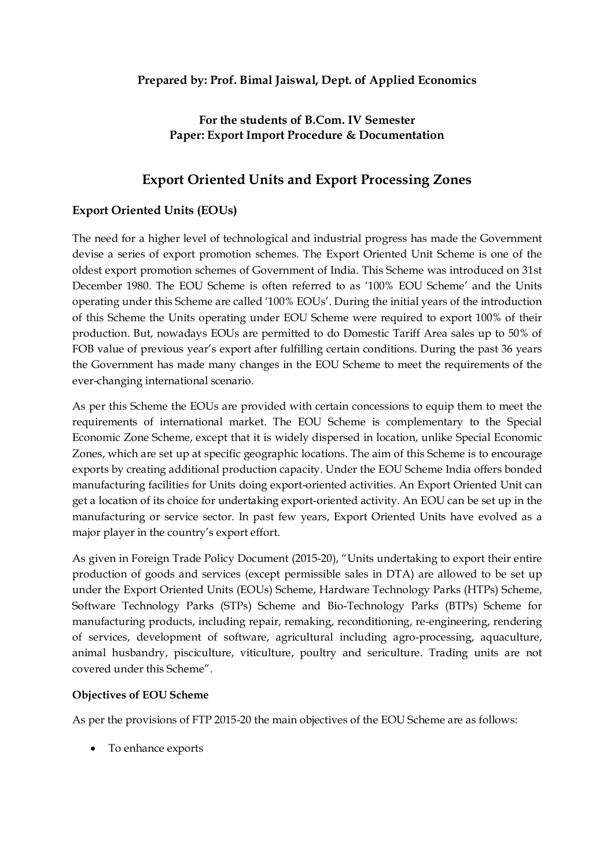## **For the students of B.Com. IV Semester Paper: Export Import Procedure & Documentation**

# **Export Oriented Units and Export Processing Zones**

## **Export Oriented Units (EOUs)**

The need for a higher level of technological and industrial progress has made the Government devise a series of export promotion schemes. The Export Oriented Unit Scheme is one of the oldest export promotion schemes of Government of India. This Scheme was introduced on 31st December 1980. The EOU Scheme is often referred to as '100% EOU Scheme' and the Units operating under this Scheme are called '100% EOUs'. During the initial years of the introduction of this Scheme the Units operating under EOU Scheme were required to export 100% of their production. But, nowadays EOUs are permitted to do Domestic Tariff Area sales up to 50% of FOB value of previous year's export after fulfilling certain conditions. During the past 36 years the Government has made many changes in the EOU Scheme to meet the requirements of the ever-changing international scenario.

As per this Scheme the EOUs are provided with certain concessions to equip them to meet the requirements of international market. The EOU Scheme is complementary to the Special Economic Zone Scheme, except that it is widely dispersed in location, unlike Special Economic Zones, which are set up at specific geographic locations. The aim of this Scheme is to encourage exports by creating additional production capacity. Under the EOU Scheme India offers bonded manufacturing facilities for Units doing export-oriented activities. An Export Oriented Unit can get a location of its choice for undertaking export-oriented activity. An EOU can be set up in the manufacturing or service sector. In past few years, Export Oriented Units have evolved as a major player in the country's export effort.

As given in Foreign Trade Policy Document (2015-20), "Units undertaking to export their entire production of goods and services (except permissible sales in DTA) are allowed to be set up under the Export Oriented Units (EOUs) Scheme, Hardware Technology Parks (HTPs) Scheme, Software Technology Parks (STPs) Scheme and Bio-Technology Parks (BTPs) Scheme for manufacturing products, including repair, remaking, reconditioning, re-engineering, rendering of services, development of software, agricultural including agro-processing, aquaculture, animal husbandry, pisciculture, viticulture, poultry and sericulture. Trading units are not covered under this Scheme".

#### **Objectives of EOU Scheme**

As per the provisions of FTP 2015-20 the main objectives of the EOU Scheme are as follows:

· To enhance exports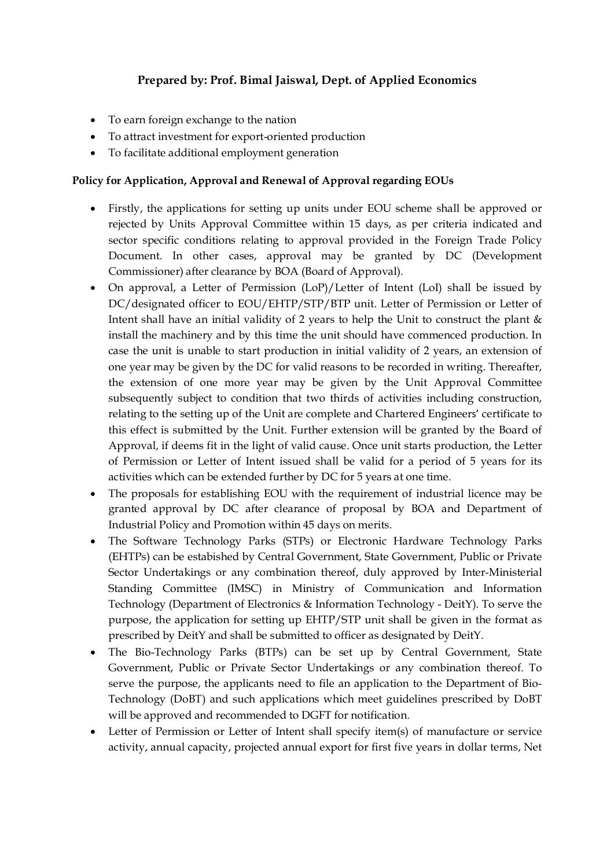- · To earn foreign exchange to the nation
- · To attract investment for export-oriented production
- · To facilitate additional employment generation

#### **Policy for Application, Approval and Renewal of Approval regarding EOUs**

- · Firstly, the applications for setting up units under EOU scheme shall be approved or rejected by Units Approval Committee within 15 days, as per criteria indicated and sector specific conditions relating to approval provided in the Foreign Trade Policy Document. In other cases, approval may be granted by DC (Development Commissioner) after clearance by BOA (Board of Approval).
- · On approval, a Letter of Permission (LoP)/Letter of Intent (LoI) shall be issued by DC/designated officer to EOU/EHTP/STP/BTP unit. Letter of Permission or Letter of Intent shall have an initial validity of 2 years to help the Unit to construct the plant & install the machinery and by this time the unit should have commenced production. In case the unit is unable to start production in initial validity of 2 years, an extension of one year may be given by the DC for valid reasons to be recorded in writing. Thereafter, the extension of one more year may be given by the Unit Approval Committee subsequently subject to condition that two thirds of activities including construction, relating to the setting up of the Unit are complete and Chartered Engineers' certificate to this effect is submitted by the Unit. Further extension will be granted by the Board of Approval, if deems fit in the light of valid cause. Once unit starts production, the Letter of Permission or Letter of Intent issued shall be valid for a period of 5 years for its activities which can be extended further by DC for 5 years at one time.
- · The proposals for establishing EOU with the requirement of industrial licence may be granted approval by DC after clearance of proposal by BOA and Department of Industrial Policy and Promotion within 45 days on merits.
- · The Software Technology Parks (STPs) or Electronic Hardware Technology Parks (EHTPs) can be estabished by Central Government, State Government, Public or Private Sector Undertakings or any combination thereof, duly approved by Inter-Ministerial Standing Committee (IMSC) in Ministry of Communication and Information Technology (Department of Electronics & Information Technology - DeitY). To serve the purpose, the application for setting up EHTP/STP unit shall be given in the format as prescribed by DeitY and shall be submitted to officer as designated by DeitY.
- · The Bio-Technology Parks (BTPs) can be set up by Central Government, State Government, Public or Private Sector Undertakings or any combination thereof. To serve the purpose, the applicants need to file an application to the Department of Bio-Technology (DoBT) and such applications which meet guidelines prescribed by DoBT will be approved and recommended to DGFT for notification.
- · Letter of Permission or Letter of Intent shall specify item(s) of manufacture or service activity, annual capacity, projected annual export for first five years in dollar terms, Net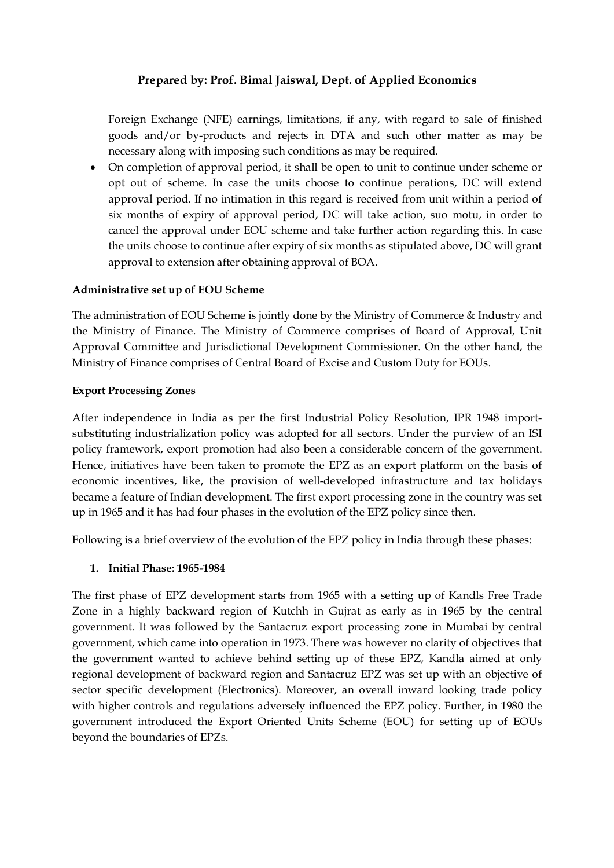Foreign Exchange (NFE) earnings, limitations, if any, with regard to sale of finished goods and/or by-products and rejects in DTA and such other matter as may be necessary along with imposing such conditions as may be required.

· On completion of approval period, it shall be open to unit to continue under scheme or opt out of scheme. In case the units choose to continue perations, DC will extend approval period. If no intimation in this regard is received from unit within a period of six months of expiry of approval period, DC will take action, suo motu, in order to cancel the approval under EOU scheme and take further action regarding this. In case the units choose to continue after expiry of six months as stipulated above, DC will grant approval to extension after obtaining approval of BOA.

### **Administrative set up of EOU Scheme**

The administration of EOU Scheme is jointly done by the Ministry of Commerce & Industry and the Ministry of Finance. The Ministry of Commerce comprises of Board of Approval, Unit Approval Committee and Jurisdictional Development Commissioner. On the other hand, the Ministry of Finance comprises of Central Board of Excise and Custom Duty for EOUs.

### **Export Processing Zones**

After independence in India as per the first Industrial Policy Resolution, IPR 1948 importsubstituting industrialization policy was adopted for all sectors. Under the purview of an ISI policy framework, export promotion had also been a considerable concern of the government. Hence, initiatives have been taken to promote the EPZ as an export platform on the basis of economic incentives, like, the provision of well-developed infrastructure and tax holidays became a feature of Indian development. The first export processing zone in the country was set up in 1965 and it has had four phases in the evolution of the EPZ policy since then.

Following is a brief overview of the evolution of the EPZ policy in India through these phases:

## **1. Initial Phase: 1965-1984**

The first phase of EPZ development starts from 1965 with a setting up of Kandls Free Trade Zone in a highly backward region of Kutchh in Gujrat as early as in 1965 by the central government. It was followed by the Santacruz export processing zone in Mumbai by central government, which came into operation in 1973. There was however no clarity of objectives that the government wanted to achieve behind setting up of these EPZ, Kandla aimed at only regional development of backward region and Santacruz EPZ was set up with an objective of sector specific development (Electronics). Moreover, an overall inward looking trade policy with higher controls and regulations adversely influenced the EPZ policy. Further, in 1980 the government introduced the Export Oriented Units Scheme (EOU) for setting up of EOUs beyond the boundaries of EPZs.